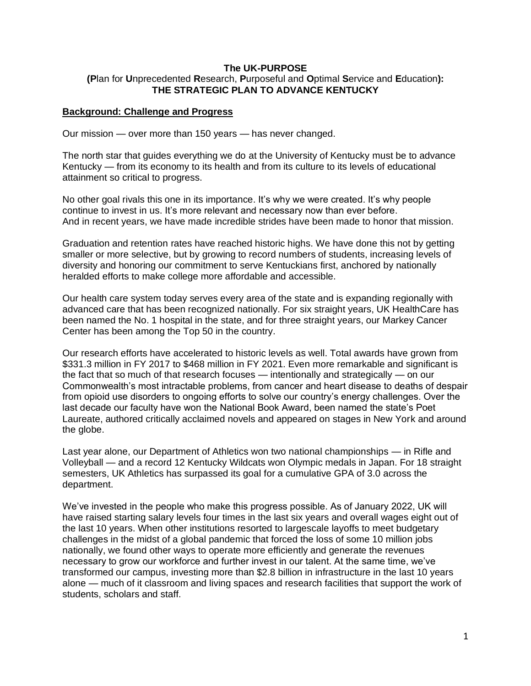#### **The UK-PURPOSE (P**lan for **U**nprecedented **R**esearch, **P**urposeful and **O**ptimal **S**ervice and **E**ducation**): THE STRATEGIC PLAN TO ADVANCE KENTUCKY**

#### **Background: Challenge and Progress**

Our mission — over more than 150 years — has never changed.

The north star that guides everything we do at the University of Kentucky must be to advance Kentucky — from its economy to its health and from its culture to its levels of educational attainment so critical to progress.

No other goal rivals this one in its importance. It's why we were created. It's why people continue to invest in us. It's more relevant and necessary now than ever before. And in recent years, we have made incredible strides have been made to honor that mission.

Graduation and retention rates have reached historic highs. We have done this not by getting smaller or more selective, but by growing to record numbers of students, increasing levels of diversity and honoring our commitment to serve Kentuckians first, anchored by nationally heralded efforts to make college more affordable and accessible.

Our health care system today serves every area of the state and is expanding regionally with advanced care that has been recognized nationally. For six straight years, UK HealthCare has been named the No. 1 hospital in the state, and for three straight years, our Markey Cancer Center has been among the Top 50 in the country.

Our research efforts have accelerated to historic levels as well. Total awards have grown from \$331.3 million in FY 2017 to \$468 million in FY 2021. Even more remarkable and significant is the fact that so much of that research focuses — intentionally and strategically — on our Commonwealth's most intractable problems, from cancer and heart disease to deaths of despair from opioid use disorders to ongoing efforts to solve our country's energy challenges. Over the last decade our faculty have won the National Book Award, been named the state's Poet Laureate, authored critically acclaimed novels and appeared on stages in New York and around the globe.

Last year alone, our Department of Athletics won two national championships — in Rifle and Volleyball — and a record 12 Kentucky Wildcats won Olympic medals in Japan. For 18 straight semesters, UK Athletics has surpassed its goal for a cumulative GPA of 3.0 across the department.

We've invested in the people who make this progress possible. As of January 2022, UK will have raised starting salary levels four times in the last six years and overall wages eight out of the last 10 years. When other institutions resorted to largescale layoffs to meet budgetary challenges in the midst of a global pandemic that forced the loss of some 10 million jobs nationally, we found other ways to operate more efficiently and generate the revenues necessary to grow our workforce and further invest in our talent. At the same time, we've transformed our campus, investing more than \$2.8 billion in infrastructure in the last 10 years alone — much of it classroom and living spaces and research facilities that support the work of students, scholars and staff.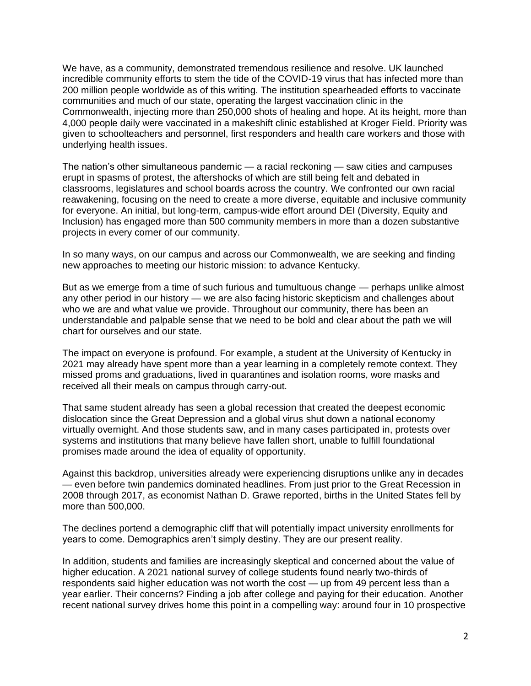We have, as a community, demonstrated tremendous resilience and resolve. UK launched incredible community efforts to stem the tide of the COVID-19 virus that has infected more than 200 million people worldwide as of this writing. The institution spearheaded efforts to vaccinate communities and much of our state, operating the largest vaccination clinic in the Commonwealth, injecting more than 250,000 shots of healing and hope. At its height, more than 4,000 people daily were vaccinated in a makeshift clinic established at Kroger Field. Priority was given to schoolteachers and personnel, first responders and health care workers and those with underlying health issues.

The nation's other simultaneous pandemic — a racial reckoning — saw cities and campuses erupt in spasms of protest, the aftershocks of which are still being felt and debated in classrooms, legislatures and school boards across the country. We confronted our own racial reawakening, focusing on the need to create a more diverse, equitable and inclusive community for everyone. An initial, but long-term, campus-wide effort around DEI (Diversity, Equity and Inclusion) has engaged more than 500 community members in more than a dozen substantive projects in every corner of our community.

In so many ways, on our campus and across our Commonwealth, we are seeking and finding new approaches to meeting our historic mission: to advance Kentucky.

But as we emerge from a time of such furious and tumultuous change — perhaps unlike almost any other period in our history — we are also facing historic skepticism and challenges about who we are and what value we provide. Throughout our community, there has been an understandable and palpable sense that we need to be bold and clear about the path we will chart for ourselves and our state.

The impact on everyone is profound. For example, a student at the University of Kentucky in 2021 may already have spent more than a year learning in a completely remote context. They missed proms and graduations, lived in quarantines and isolation rooms, wore masks and received all their meals on campus through carry-out.

That same student already has seen a global recession that created the deepest economic dislocation since the Great Depression and a global virus shut down a national economy virtually overnight. And those students saw, and in many cases participated in, protests over systems and institutions that many believe have fallen short, unable to fulfill foundational promises made around the idea of equality of opportunity.

Against this backdrop, universities already were experiencing disruptions unlike any in decades — even before twin pandemics dominated headlines. From just prior to the Great Recession in 2008 through 2017, as economist Nathan D. Grawe reported, births in the United States fell by more than 500,000.

The declines portend a demographic cliff that will potentially impact university enrollments for years to come. Demographics aren't simply destiny. They are our present reality.

In addition, students and families are increasingly skeptical and concerned about the value of higher education. A 2021 national survey of college students found nearly two-thirds of respondents said higher education was not worth the cost — up from 49 percent less than a year earlier. Their concerns? Finding a job after college and paying for their education. Another recent national survey drives home this point in a compelling way: around four in 10 prospective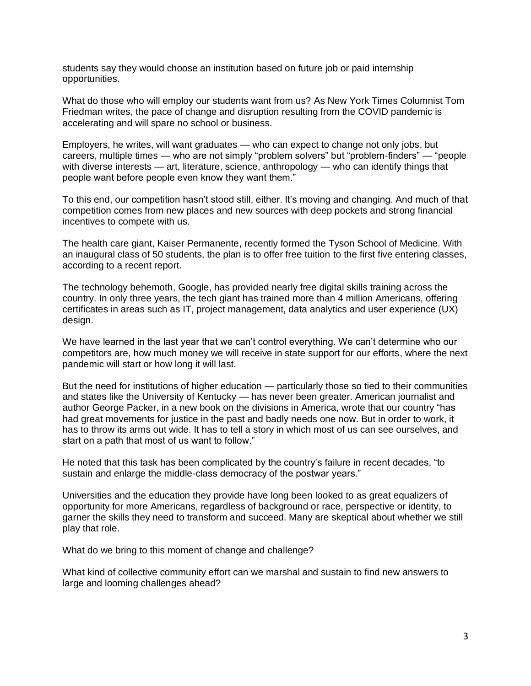students say they would choose an institution based on future job or paid internship opportunities.

What do those who will employ our students want from us? As New York Times Columnist Tom Friedman writes, the pace of change and disruption resulting from the COVID pandemic is accelerating and will spare no school or business.

Employers, he writes, will want graduates — who can expect to change not only jobs, but careers, multiple times — who are not simply "problem solvers" but "problem-finders" — "people with diverse interests — art, literature, science, anthropology — who can identify things that people want before people even know they want them."

To this end, our competition hasn't stood still, either. It's moving and changing. And much of that competition comes from new places and new sources with deep pockets and strong financial incentives to compete with us.

The health care giant, Kaiser Permanente, recently formed the Tyson School of Medicine. With an inaugural class of 50 students, the plan is to offer free tuition to the first five entering classes, according to a recent report.

The technology behemoth, Google, has provided nearly free digital skills training across the country. In only three years, the tech giant has trained more than 4 million Americans, offering certificates in areas such as IT, project management, data analytics and user experience (UX) design.

We have learned in the last year that we can't control everything. We can't determine who our competitors are, how much money we will receive in state support for our efforts, where the next pandemic will start or how long it will last.

But the need for institutions of higher education — particularly those so tied to their communities and states like the University of Kentucky — has never been greater. American journalist and author George Packer, in a new book on the divisions in America, wrote that our country "has had great movements for justice in the past and badly needs one now. But in order to work, it has to throw its arms out wide. It has to tell a story in which most of us can see ourselves, and start on a path that most of us want to follow."

He noted that this task has been complicated by the country's failure in recent decades, "to sustain and enlarge the middle-class democracy of the postwar years."

Universities and the education they provide have long been looked to as great equalizers of opportunity for more Americans, regardless of background or race, perspective or identity, to garner the skills they need to transform and succeed. Many are skeptical about whether we still play that role.

What do we bring to this moment of change and challenge?

What kind of collective community effort can we marshal and sustain to find new answers to large and looming challenges ahead?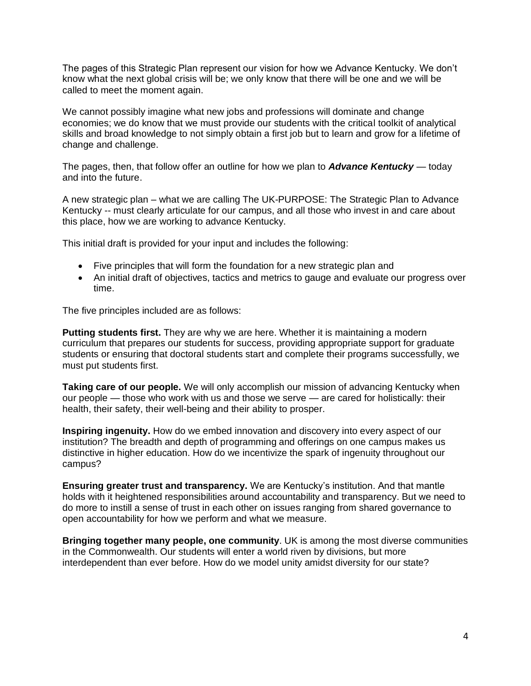The pages of this Strategic Plan represent our vision for how we Advance Kentucky. We don't know what the next global crisis will be; we only know that there will be one and we will be called to meet the moment again.

We cannot possibly imagine what new jobs and professions will dominate and change economies; we do know that we must provide our students with the critical toolkit of analytical skills and broad knowledge to not simply obtain a first job but to learn and grow for a lifetime of change and challenge.

The pages, then, that follow offer an outline for how we plan to *Advance Kentucky* — today and into the future.

A new strategic plan – what we are calling The UK-PURPOSE: The Strategic Plan to Advance Kentucky -- must clearly articulate for our campus, and all those who invest in and care about this place, how we are working to advance Kentucky.

This initial draft is provided for your input and includes the following:

- Five principles that will form the foundation for a new strategic plan and
- An initial draft of objectives, tactics and metrics to gauge and evaluate our progress over time.

The five principles included are as follows:

**Putting students first.** They are why we are here. Whether it is maintaining a modern curriculum that prepares our students for success, providing appropriate support for graduate students or ensuring that doctoral students start and complete their programs successfully, we must put students first.

**Taking care of our people.** We will only accomplish our mission of advancing Kentucky when our people — those who work with us and those we serve — are cared for holistically: their health, their safety, their well-being and their ability to prosper.

**Inspiring ingenuity.** How do we embed innovation and discovery into every aspect of our institution? The breadth and depth of programming and offerings on one campus makes us distinctive in higher education. How do we incentivize the spark of ingenuity throughout our campus?

**Ensuring greater trust and transparency.** We are Kentucky's institution. And that mantle holds with it heightened responsibilities around accountability and transparency. But we need to do more to instill a sense of trust in each other on issues ranging from shared governance to open accountability for how we perform and what we measure.

**Bringing together many people, one community**. UK is among the most diverse communities in the Commonwealth. Our students will enter a world riven by divisions, but more interdependent than ever before. How do we model unity amidst diversity for our state?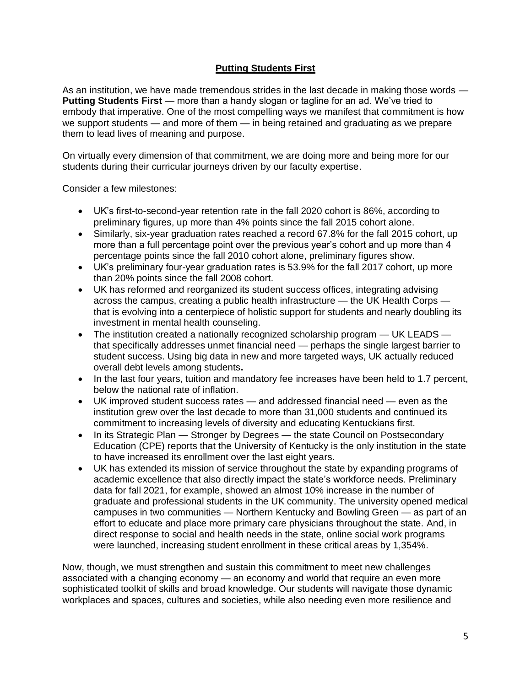# **Putting Students First**

As an institution, we have made tremendous strides in the last decade in making those words — **Putting Students First** — more than a handy slogan or tagline for an ad. We've tried to embody that imperative. One of the most compelling ways we manifest that commitment is how we support students — and more of them — in being retained and graduating as we prepare them to lead lives of meaning and purpose.

On virtually every dimension of that commitment, we are doing more and being more for our students during their curricular journeys driven by our faculty expertise.

Consider a few milestones:

- UK's first-to-second-year retention rate in the fall 2020 cohort is 86%, according to preliminary figures, up more than 4% points since the fall 2015 cohort alone.
- Similarly, six-year graduation rates reached a record 67.8% for the fall 2015 cohort, up more than a full percentage point over the previous year's cohort and up more than 4 percentage points since the fall 2010 cohort alone, preliminary figures show.
- UK's preliminary four-year graduation rates is 53.9% for the fall 2017 cohort, up more than 20% points since the fall 2008 cohort.
- UK has reformed and reorganized its student success offices, integrating advising across the campus, creating a public health infrastructure — the UK Health Corps that is evolving into a centerpiece of holistic support for students and nearly doubling its investment in mental health counseling.
- The institution created a nationally recognized scholarship program UK LEADS that specifically addresses unmet financial need — perhaps the single largest barrier to student success. Using big data in new and more targeted ways, UK actually reduced overall debt levels among students**.**
- In the last four years, tuition and mandatory fee increases have been held to 1.7 percent, below the national rate of inflation.
- UK improved student success rates and addressed financial need even as the institution grew over the last decade to more than 31,000 students and continued its commitment to increasing levels of diversity and educating Kentuckians first.
- In its Strategic Plan Stronger by Degrees the state Council on Postsecondary Education (CPE) reports that the University of Kentucky is the only institution in the state to have increased its enrollment over the last eight years.
- UK has extended its mission of service throughout the state by expanding programs of academic excellence that also directly impact the state's workforce needs. Preliminary data for fall 2021, for example, showed an almost 10% increase in the number of graduate and professional students in the UK community. The university opened medical campuses in two communities — Northern Kentucky and Bowling Green — as part of an effort to educate and place more primary care physicians throughout the state. And, in direct response to social and health needs in the state, online social work programs were launched, increasing student enrollment in these critical areas by 1,354%.

Now, though, we must strengthen and sustain this commitment to meet new challenges associated with a changing economy — an economy and world that require an even more sophisticated toolkit of skills and broad knowledge. Our students will navigate those dynamic workplaces and spaces, cultures and societies, while also needing even more resilience and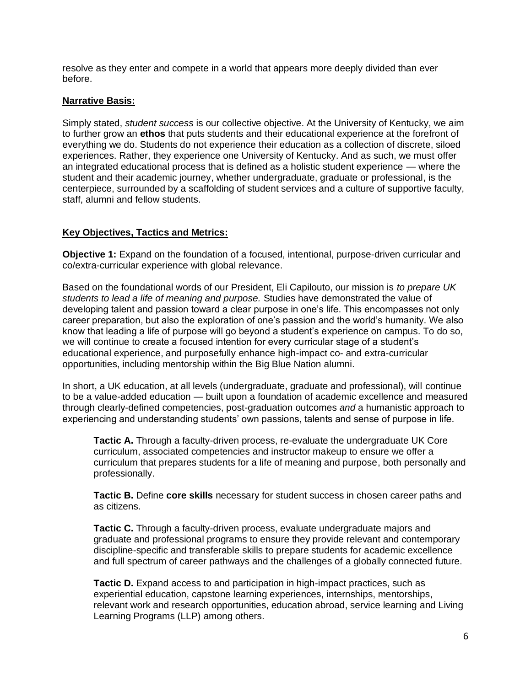resolve as they enter and compete in a world that appears more deeply divided than ever before.

### **Narrative Basis:**

Simply stated, *student success* is our collective objective. At the University of Kentucky, we aim to further grow an **ethos** that puts students and their educational experience at the forefront of everything we do. Students do not experience their education as a collection of discrete, siloed experiences. Rather, they experience one University of Kentucky. And as such, we must offer an integrated educational process that is defined as a holistic student experience — where the student and their academic journey, whether undergraduate, graduate or professional, is the centerpiece, surrounded by a scaffolding of student services and a culture of supportive faculty, staff, alumni and fellow students.

## **Key Objectives, Tactics and Metrics:**

**Objective 1:** Expand on the foundation of a focused, intentional, purpose-driven curricular and co/extra-curricular experience with global relevance.

Based on the foundational words of our President, Eli Capilouto, our mission is *to prepare UK students to lead a life of meaning and purpose.* Studies have demonstrated the value of developing talent and passion toward a clear purpose in one's life. This encompasses not only career preparation, but also the exploration of one's passion and the world's humanity. We also know that leading a life of purpose will go beyond a student's experience on campus. To do so, we will continue to create a focused intention for every curricular stage of a student's educational experience, and purposefully enhance high-impact co- and extra-curricular opportunities, including mentorship within the Big Blue Nation alumni.

In short, a UK education, at all levels (undergraduate, graduate and professional), will continue to be a value-added education — built upon a foundation of academic excellence and measured through clearly-defined competencies, post-graduation outcomes *and* a humanistic approach to experiencing and understanding students' own passions, talents and sense of purpose in life.

**Tactic A.** Through a faculty-driven process, re-evaluate the undergraduate UK Core curriculum, associated competencies and instructor makeup to ensure we offer a curriculum that prepares students for a life of meaning and purpose, both personally and professionally.

**Tactic B.** Define **core skills** necessary for student success in chosen career paths and as citizens.

**Tactic C.** Through a faculty-driven process, evaluate undergraduate majors and graduate and professional programs to ensure they provide relevant and contemporary discipline-specific and transferable skills to prepare students for academic excellence and full spectrum of career pathways and the challenges of a globally connected future.

**Tactic D.** Expand access to and participation in high-impact practices, such as experiential education, capstone learning experiences, internships, mentorships, relevant work and research opportunities, education abroad, service learning and Living Learning Programs (LLP) among others.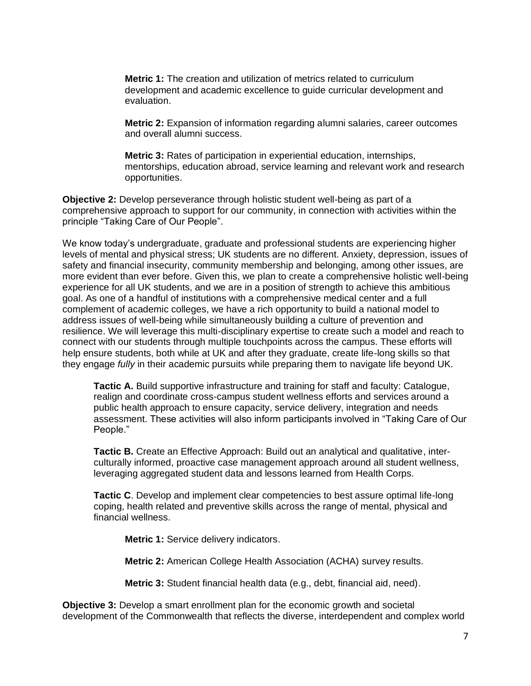**Metric 1:** The creation and utilization of metrics related to curriculum development and academic excellence to guide curricular development and evaluation.

**Metric 2:** Expansion of information regarding alumni salaries, career outcomes and overall alumni success.

**Metric 3:** Rates of participation in experiential education, internships, mentorships, education abroad, service learning and relevant work and research opportunities.

**Objective 2:** Develop perseverance through holistic student well-being as part of a comprehensive approach to support for our community, in connection with activities within the principle "Taking Care of Our People".

We know today's undergraduate, graduate and professional students are experiencing higher levels of mental and physical stress; UK students are no different. Anxiety, depression, issues of safety and financial insecurity, community membership and belonging, among other issues, are more evident than ever before. Given this, we plan to create a comprehensive holistic well-being experience for all UK students, and we are in a position of strength to achieve this ambitious goal. As one of a handful of institutions with a comprehensive medical center and a full complement of academic colleges, we have a rich opportunity to build a national model to address issues of well-being while simultaneously building a culture of prevention and resilience. We will leverage this multi-disciplinary expertise to create such a model and reach to connect with our students through multiple touchpoints across the campus. These efforts will help ensure students, both while at UK and after they graduate, create life-long skills so that they engage *fully* in their academic pursuits while preparing them to navigate life beyond UK.

**Tactic A.** Build supportive infrastructure and training for staff and faculty: Catalogue, realign and coordinate cross-campus student wellness efforts and services around a public health approach to ensure capacity, service delivery, integration and needs assessment. These activities will also inform participants involved in "Taking Care of Our People."

**Tactic B.** Create an Effective Approach: Build out an analytical and qualitative, interculturally informed, proactive case management approach around all student wellness, leveraging aggregated student data and lessons learned from Health Corps.

**Tactic C**. Develop and implement clear competencies to best assure optimal life-long coping, health related and preventive skills across the range of mental, physical and financial wellness.

**Metric 1:** Service delivery indicators.

**Metric 2:** American College Health Association (ACHA) survey results.

**Metric 3:** Student financial health data (e.g., debt, financial aid, need).

**Objective 3:** Develop a smart enrollment plan for the economic growth and societal development of the Commonwealth that reflects the diverse, interdependent and complex world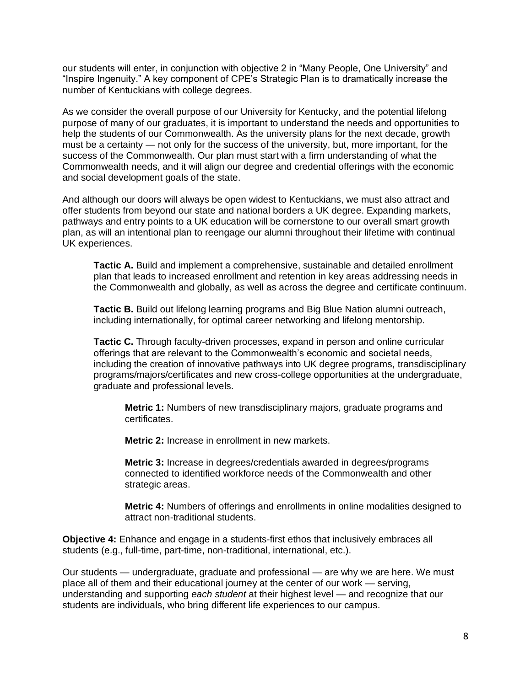our students will enter, in conjunction with objective 2 in "Many People, One University" and "Inspire Ingenuity." A key component of CPE's Strategic Plan is to dramatically increase the number of Kentuckians with college degrees.

As we consider the overall purpose of our University for Kentucky, and the potential lifelong purpose of many of our graduates, it is important to understand the needs and opportunities to help the students of our Commonwealth. As the university plans for the next decade, growth must be a certainty — not only for the success of the university, but, more important, for the success of the Commonwealth. Our plan must start with a firm understanding of what the Commonwealth needs, and it will align our degree and credential offerings with the economic and social development goals of the state.

And although our doors will always be open widest to Kentuckians, we must also attract and offer students from beyond our state and national borders a UK degree. Expanding markets, pathways and entry points to a UK education will be cornerstone to our overall smart growth plan, as will an intentional plan to reengage our alumni throughout their lifetime with continual UK experiences.

**Tactic A.** Build and implement a comprehensive, sustainable and detailed enrollment plan that leads to increased enrollment and retention in key areas addressing needs in the Commonwealth and globally, as well as across the degree and certificate continuum.

**Tactic B.** Build out lifelong learning programs and Big Blue Nation alumni outreach, including internationally, for optimal career networking and lifelong mentorship.

**Tactic C.** Through faculty-driven processes, expand in person and online curricular offerings that are relevant to the Commonwealth's economic and societal needs, including the creation of innovative pathways into UK degree programs, transdisciplinary programs/majors/certificates and new cross-college opportunities at the undergraduate, graduate and professional levels.

**Metric 1:** Numbers of new transdisciplinary majors, graduate programs and certificates.

**Metric 2:** Increase in enrollment in new markets.

**Metric 3:** Increase in degrees/credentials awarded in degrees/programs connected to identified workforce needs of the Commonwealth and other strategic areas.

**Metric 4:** Numbers of offerings and enrollments in online modalities designed to attract non-traditional students.

**Objective 4:** Enhance and engage in a students-first ethos that inclusively embraces all students (e.g., full-time, part-time, non-traditional, international, etc.).

Our students — undergraduate, graduate and professional — are why we are here. We must place all of them and their educational journey at the center of our work — serving, understanding and supporting *each student* at their highest level — and recognize that our students are individuals, who bring different life experiences to our campus.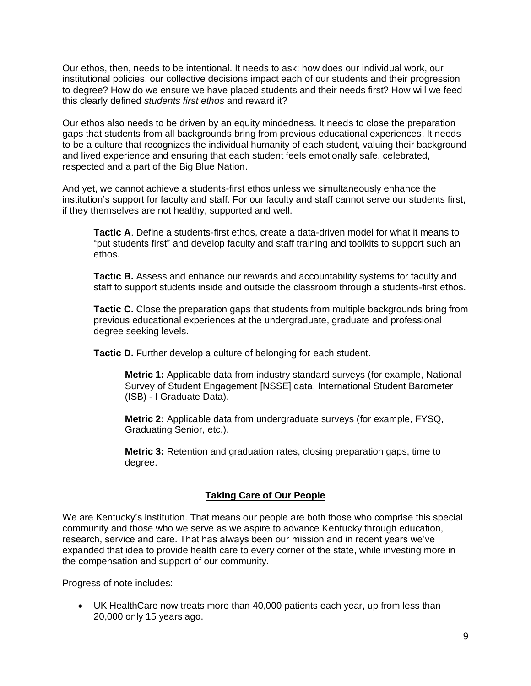Our ethos, then, needs to be intentional. It needs to ask: how does our individual work, our institutional policies, our collective decisions impact each of our students and their progression to degree? How do we ensure we have placed students and their needs first? How will we feed this clearly defined *students first ethos* and reward it?

Our ethos also needs to be driven by an equity mindedness. It needs to close the preparation gaps that students from all backgrounds bring from previous educational experiences. It needs to be a culture that recognizes the individual humanity of each student, valuing their background and lived experience and ensuring that each student feels emotionally safe, celebrated, respected and a part of the Big Blue Nation.

And yet, we cannot achieve a students-first ethos unless we simultaneously enhance the institution's support for faculty and staff. For our faculty and staff cannot serve our students first, if they themselves are not healthy, supported and well.

**Tactic A**. Define a students-first ethos, create a data-driven model for what it means to "put students first" and develop faculty and staff training and toolkits to support such an ethos.

**Tactic B.** Assess and enhance our rewards and accountability systems for faculty and staff to support students inside and outside the classroom through a students-first ethos.

**Tactic C.** Close the preparation gaps that students from multiple backgrounds bring from previous educational experiences at the undergraduate, graduate and professional degree seeking levels.

**Tactic D.** Further develop a culture of belonging for each student.

**Metric 1:** Applicable data from industry standard surveys (for example, National Survey of Student Engagement [NSSE] data, International Student Barometer (ISB) - I Graduate Data).

**Metric 2:** Applicable data from undergraduate surveys (for example, FYSQ, Graduating Senior, etc.).

**Metric 3:** Retention and graduation rates, closing preparation gaps, time to degree.

### **Taking Care of Our People**

We are Kentucky's institution. That means our people are both those who comprise this special community and those who we serve as we aspire to advance Kentucky through education, research, service and care. That has always been our mission and in recent years we've expanded that idea to provide health care to every corner of the state, while investing more in the compensation and support of our community.

Progress of note includes:

• UK HealthCare now treats more than 40,000 patients each year, up from less than 20,000 only 15 years ago.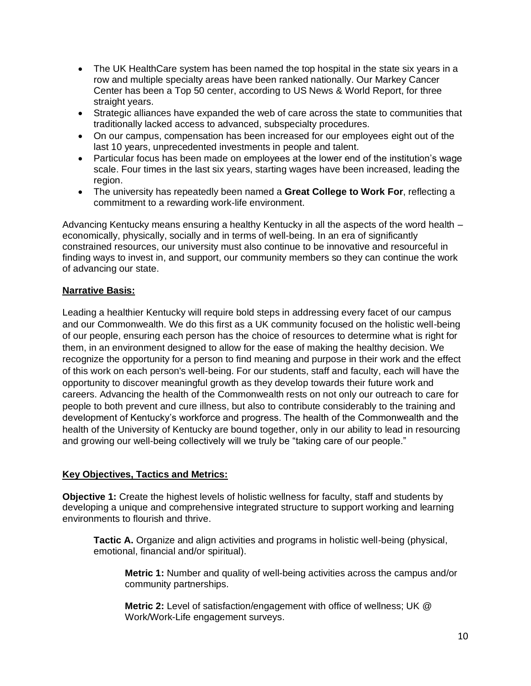- The UK HealthCare system has been named the top hospital in the state six years in a row and multiple specialty areas have been ranked nationally. Our Markey Cancer Center has been a Top 50 center, according to US News & World Report, for three straight years.
- Strategic alliances have expanded the web of care across the state to communities that traditionally lacked access to advanced, subspecialty procedures.
- On our campus, compensation has been increased for our employees eight out of the last 10 years, unprecedented investments in people and talent.
- Particular focus has been made on employees at the lower end of the institution's wage scale. Four times in the last six years, starting wages have been increased, leading the region.
- The university has repeatedly been named a **Great College to Work For**, reflecting a commitment to a rewarding work-life environment.

Advancing Kentucky means ensuring a healthy Kentucky in all the aspects of the word health – economically, physically, socially and in terms of well-being. In an era of significantly constrained resources, our university must also continue to be innovative and resourceful in finding ways to invest in, and support, our community members so they can continue the work of advancing our state.

## **Narrative Basis:**

Leading a healthier Kentucky will require bold steps in addressing every facet of our campus and our Commonwealth. We do this first as a UK community focused on the holistic well-being of our people, ensuring each person has the choice of resources to determine what is right for them, in an environment designed to allow for the ease of making the healthy decision. We recognize the opportunity for a person to find meaning and purpose in their work and the effect of this work on each person's well-being. For our students, staff and faculty, each will have the opportunity to discover meaningful growth as they develop towards their future work and careers. Advancing the health of the Commonwealth rests on not only our outreach to care for people to both prevent and cure illness, but also to contribute considerably to the training and development of Kentucky's workforce and progress. The health of the Commonwealth and the health of the University of Kentucky are bound together, only in our ability to lead in resourcing and growing our well-being collectively will we truly be "taking care of our people."

### **Key Objectives, Tactics and Metrics:**

**Objective 1:** Create the highest levels of holistic wellness for faculty, staff and students by developing a unique and comprehensive integrated structure to support working and learning environments to flourish and thrive.

**Tactic A.** Organize and align activities and programs in holistic well-being (physical, emotional, financial and/or spiritual).

**Metric 1:** Number and quality of well-being activities across the campus and/or community partnerships.

**Metric 2:** Level of satisfaction/engagement with office of wellness; UK @ Work/Work-Life engagement surveys.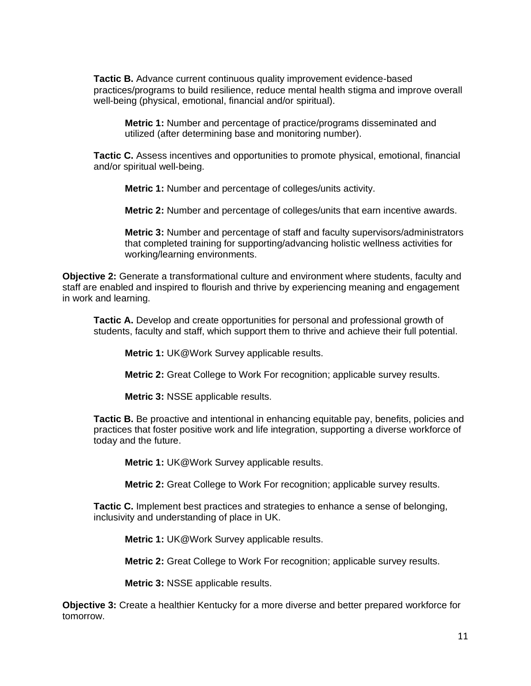**Tactic B.** Advance current continuous quality improvement evidence-based practices/programs to build resilience, reduce mental health stigma and improve overall well-being (physical, emotional, financial and/or spiritual).

**Metric 1:** Number and percentage of practice/programs disseminated and utilized (after determining base and monitoring number).

**Tactic C.** Assess incentives and opportunities to promote physical, emotional, financial and/or spiritual well-being.

**Metric 1:** Number and percentage of colleges/units activity.

**Metric 2:** Number and percentage of colleges/units that earn incentive awards.

**Metric 3:** Number and percentage of staff and faculty supervisors/administrators that completed training for supporting/advancing holistic wellness activities for working/learning environments.

**Objective 2:** Generate a transformational culture and environment where students, faculty and staff are enabled and inspired to flourish and thrive by experiencing meaning and engagement in work and learning.

**Tactic A.** Develop and create opportunities for personal and professional growth of students, faculty and staff, which support them to thrive and achieve their full potential.

**Metric 1:** UK@Work Survey applicable results.

**Metric 2:** Great College to Work For recognition; applicable survey results.

**Metric 3:** NSSE applicable results.

**Tactic B.** Be proactive and intentional in enhancing equitable pay, benefits, policies and practices that foster positive work and life integration, supporting a diverse workforce of today and the future.

**Metric 1:** UK@Work Survey applicable results.

**Metric 2:** Great College to Work For recognition; applicable survey results.

**Tactic C.** Implement best practices and strategies to enhance a sense of belonging, inclusivity and understanding of place in UK.

**Metric 1:** UK@Work Survey applicable results.

**Metric 2:** Great College to Work For recognition; applicable survey results.

**Metric 3:** NSSE applicable results.

**Objective 3:** Create a healthier Kentucky for a more diverse and better prepared workforce for tomorrow.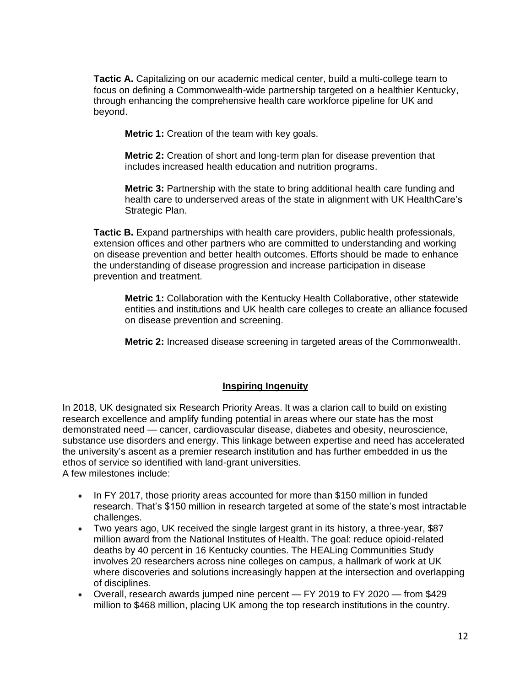**Tactic A.** Capitalizing on our academic medical center, build a multi-college team to focus on defining a Commonwealth-wide partnership targeted on a healthier Kentucky, through enhancing the comprehensive health care workforce pipeline for UK and beyond.

**Metric 1:** Creation of the team with key goals.

**Metric 2:** Creation of short and long-term plan for disease prevention that includes increased health education and nutrition programs.

**Metric 3:** Partnership with the state to bring additional health care funding and health care to underserved areas of the state in alignment with UK HealthCare's Strategic Plan.

**Tactic B.** Expand partnerships with health care providers, public health professionals, extension offices and other partners who are committed to understanding and working on disease prevention and better health outcomes. Efforts should be made to enhance the understanding of disease progression and increase participation in disease prevention and treatment.

**Metric 1:** Collaboration with the Kentucky Health Collaborative, other statewide entities and institutions and UK health care colleges to create an alliance focused on disease prevention and screening.

**Metric 2:** Increased disease screening in targeted areas of the Commonwealth.

### **Inspiring Ingenuity**

In 2018, UK designated six Research Priority Areas. It was a clarion call to build on existing research excellence and amplify funding potential in areas where our state has the most demonstrated need — cancer, cardiovascular disease, diabetes and obesity, neuroscience, substance use disorders and energy. This linkage between expertise and need has accelerated the university's ascent as a premier research institution and has further embedded in us the ethos of service so identified with land-grant universities. A few milestones include:

- In FY 2017, those priority areas accounted for more than \$150 million in funded research. That's \$150 million in research targeted at some of the state's most intractable challenges.
- Two years ago, UK received the single largest grant in its history, a three-year, \$87 million award from the National Institutes of Health. The goal: reduce opioid-related deaths by 40 percent in 16 Kentucky counties. The HEALing Communities Study involves 20 researchers across nine colleges on campus, a hallmark of work at UK where discoveries and solutions increasingly happen at the intersection and overlapping of disciplines.
- Overall, research awards jumped nine percent FY 2019 to FY 2020 from \$429 million to \$468 million, placing UK among the top research institutions in the country.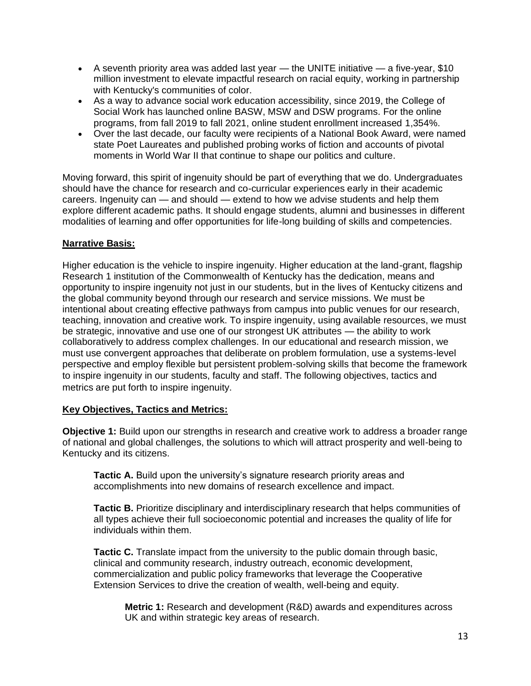- A seventh priority area was added last year  $-$  the UNITE initiative  $-$  a five-year, \$10 million investment to elevate impactful research on racial equity, working in partnership with Kentucky's communities of color.
- As a way to advance social work education accessibility, since 2019, the College of Social Work has launched online BASW, MSW and DSW programs. For the online programs, from fall 2019 to fall 2021, online student enrollment increased 1,354%.
- Over the last decade, our faculty were recipients of a National Book Award, were named state Poet Laureates and published probing works of fiction and accounts of pivotal moments in World War II that continue to shape our politics and culture.

Moving forward, this spirit of ingenuity should be part of everything that we do. Undergraduates should have the chance for research and co-curricular experiences early in their academic careers. Ingenuity can — and should — extend to how we advise students and help them explore different academic paths. It should engage students, alumni and businesses in different modalities of learning and offer opportunities for life-long building of skills and competencies.

## **Narrative Basis:**

Higher education is the vehicle to inspire ingenuity. Higher education at the land-grant, flagship Research 1 institution of the Commonwealth of Kentucky has the dedication, means and opportunity to inspire ingenuity not just in our students, but in the lives of Kentucky citizens and the global community beyond through our research and service missions. We must be intentional about creating effective pathways from campus into public venues for our research, teaching, innovation and creative work. To inspire ingenuity, using available resources, we must be strategic, innovative and use one of our strongest UK attributes — the ability to work collaboratively to address complex challenges. In our educational and research mission, we must use convergent approaches that deliberate on problem formulation, use a systems-level perspective and employ flexible but persistent problem-solving skills that become the framework to inspire ingenuity in our students, faculty and staff. The following objectives, tactics and metrics are put forth to inspire ingenuity.

### **Key Objectives, Tactics and Metrics:**

**Objective 1:** Build upon our strengths in research and creative work to address a broader range of national and global challenges, the solutions to which will attract prosperity and well-being to Kentucky and its citizens.

**Tactic A.** Build upon the university's signature research priority areas and accomplishments into new domains of research excellence and impact.

**Tactic B.** Prioritize disciplinary and interdisciplinary research that helps communities of all types achieve their full socioeconomic potential and increases the quality of life for individuals within them.

**Tactic C.** Translate impact from the university to the public domain through basic, clinical and community research, industry outreach, economic development, commercialization and public policy frameworks that leverage the Cooperative Extension Services to drive the creation of wealth, well-being and equity.

**Metric 1:** Research and development (R&D) awards and expenditures across UK and within strategic key areas of research.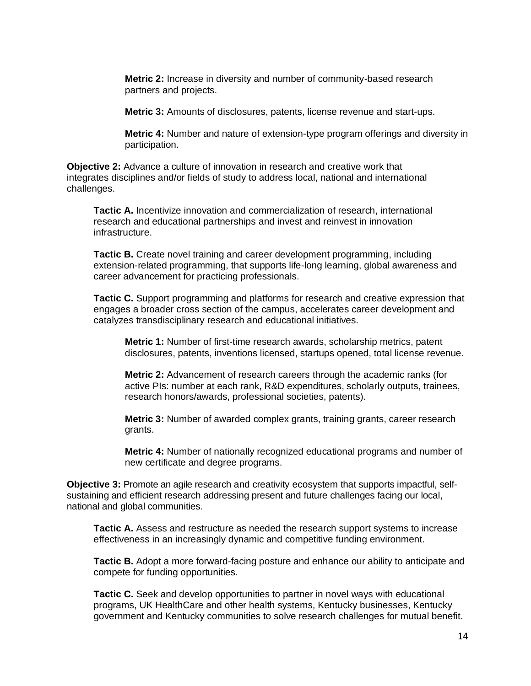**Metric 2:** Increase in diversity and number of community-based research partners and projects.

**Metric 3:** Amounts of disclosures, patents, license revenue and start-ups.

**Metric 4:** Number and nature of extension-type program offerings and diversity in participation.

**Objective 2:** Advance a culture of innovation in research and creative work that integrates disciplines and/or fields of study to address local, national and international challenges.

**Tactic A.** Incentivize innovation and commercialization of research, international research and educational partnerships and invest and reinvest in innovation infrastructure.

**Tactic B.** Create novel training and career development programming, including extension-related programming, that supports life-long learning, global awareness and career advancement for practicing professionals.

**Tactic C.** Support programming and platforms for research and creative expression that engages a broader cross section of the campus, accelerates career development and catalyzes transdisciplinary research and educational initiatives.

**Metric 1:** Number of first-time research awards, scholarship metrics, patent disclosures, patents, inventions licensed, startups opened, total license revenue.

**Metric 2:** Advancement of research careers through the academic ranks (for active PIs: number at each rank, R&D expenditures, scholarly outputs, trainees, research honors/awards, professional societies, patents).

**Metric 3:** Number of awarded complex grants, training grants, career research grants.

**Metric 4:** Number of nationally recognized educational programs and number of new certificate and degree programs.

**Objective 3:** Promote an agile research and creativity ecosystem that supports impactful, selfsustaining and efficient research addressing present and future challenges facing our local, national and global communities.

**Tactic A.** Assess and restructure as needed the research support systems to increase effectiveness in an increasingly dynamic and competitive funding environment.

**Tactic B.** Adopt a more forward-facing posture and enhance our ability to anticipate and compete for funding opportunities.

**Tactic C.** Seek and develop opportunities to partner in novel ways with educational programs, UK HealthCare and other health systems, Kentucky businesses, Kentucky government and Kentucky communities to solve research challenges for mutual benefit.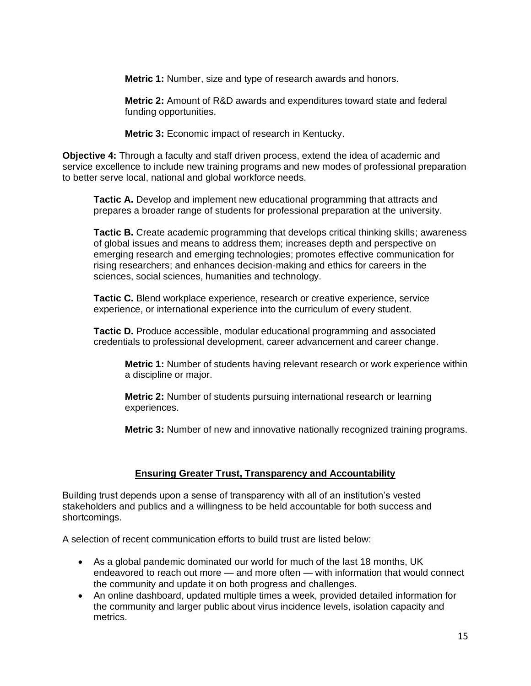**Metric 1:** Number, size and type of research awards and honors.

**Metric 2:** Amount of R&D awards and expenditures toward state and federal funding opportunities.

**Metric 3:** Economic impact of research in Kentucky.

**Objective 4:** Through a faculty and staff driven process, extend the idea of academic and service excellence to include new training programs and new modes of professional preparation to better serve local, national and global workforce needs.

**Tactic A.** Develop and implement new educational programming that attracts and prepares a broader range of students for professional preparation at the university.

**Tactic B.** Create academic programming that develops critical thinking skills; awareness of global issues and means to address them; increases depth and perspective on emerging research and emerging technologies; promotes effective communication for rising researchers; and enhances decision-making and ethics for careers in the sciences, social sciences, humanities and technology.

**Tactic C.** Blend workplace experience, research or creative experience, service experience, or international experience into the curriculum of every student.

**Tactic D.** Produce accessible, modular educational programming and associated credentials to professional development, career advancement and career change.

**Metric 1:** Number of students having relevant research or work experience within a discipline or major.

**Metric 2:** Number of students pursuing international research or learning experiences.

**Metric 3:** Number of new and innovative nationally recognized training programs.

# **Ensuring Greater Trust, Transparency and Accountability**

Building trust depends upon a sense of transparency with all of an institution's vested stakeholders and publics and a willingness to be held accountable for both success and shortcomings.

A selection of recent communication efforts to build trust are listed below:

- As a global pandemic dominated our world for much of the last 18 months, UK endeavored to reach out more — and more often — with information that would connect the community and update it on both progress and challenges.
- An online dashboard, updated multiple times a week, provided detailed information for the community and larger public about virus incidence levels, isolation capacity and metrics.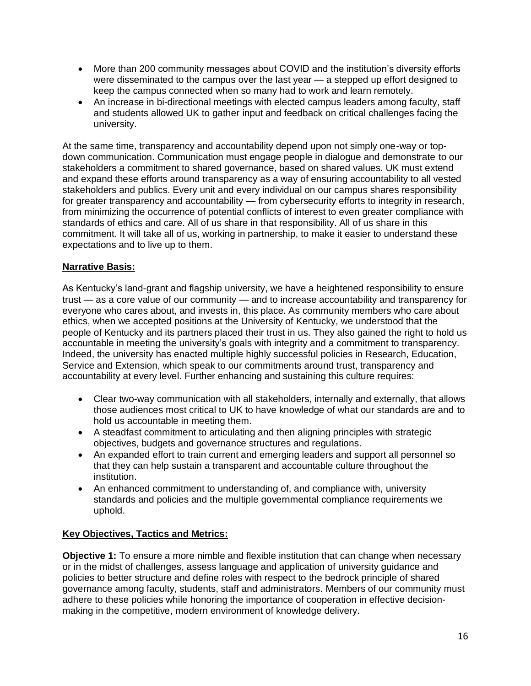- More than 200 community messages about COVID and the institution's diversity efforts were disseminated to the campus over the last year — a stepped up effort designed to keep the campus connected when so many had to work and learn remotely.
- An increase in bi-directional meetings with elected campus leaders among faculty, staff and students allowed UK to gather input and feedback on critical challenges facing the university.

At the same time, transparency and accountability depend upon not simply one-way or topdown communication. Communication must engage people in dialogue and demonstrate to our stakeholders a commitment to shared governance, based on shared values. UK must extend and expand these efforts around transparency as a way of ensuring accountability to all vested stakeholders and publics. Every unit and every individual on our campus shares responsibility for greater transparency and accountability — from cybersecurity efforts to integrity in research, from minimizing the occurrence of potential conflicts of interest to even greater compliance with standards of ethics and care. All of us share in that responsibility. All of us share in this commitment. It will take all of us, working in partnership, to make it easier to understand these expectations and to live up to them.

## **Narrative Basis:**

As Kentucky's land-grant and flagship university, we have a heightened responsibility to ensure trust — as a core value of our community — and to increase accountability and transparency for everyone who cares about, and invests in, this place. As community members who care about ethics, when we accepted positions at the University of Kentucky, we understood that the people of Kentucky and its partners placed their trust in us. They also gained the right to hold us accountable in meeting the university's goals with integrity and a commitment to transparency. Indeed, the university has enacted multiple highly successful policies in Research, Education, Service and Extension, which speak to our commitments around trust, transparency and accountability at every level. Further enhancing and sustaining this culture requires:

- Clear two-way communication with all stakeholders, internally and externally, that allows those audiences most critical to UK to have knowledge of what our standards are and to hold us accountable in meeting them.
- A steadfast commitment to articulating and then aligning principles with strategic objectives, budgets and governance structures and regulations.
- An expanded effort to train current and emerging leaders and support all personnel so that they can help sustain a transparent and accountable culture throughout the institution.
- An enhanced commitment to understanding of, and compliance with, university standards and policies and the multiple governmental compliance requirements we uphold.

# **Key Objectives, Tactics and Metrics:**

**Objective 1:** To ensure a more nimble and flexible institution that can change when necessary or in the midst of challenges, assess language and application of university guidance and policies to better structure and define roles with respect to the bedrock principle of shared governance among faculty, students, staff and administrators. Members of our community must adhere to these policies while honoring the importance of cooperation in effective decisionmaking in the competitive, modern environment of knowledge delivery.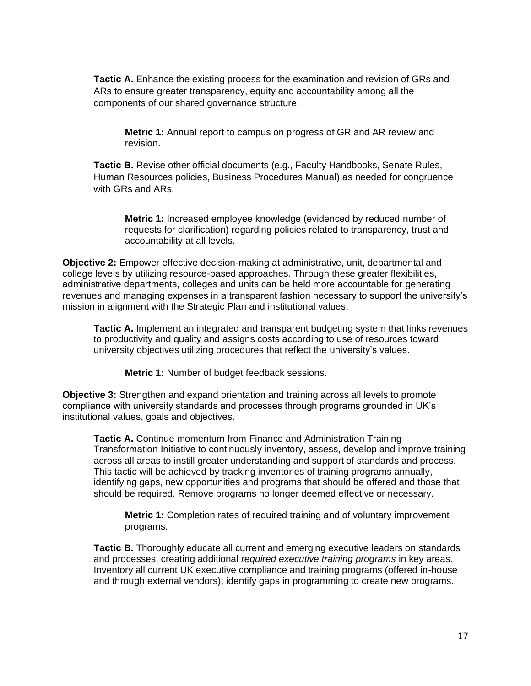**Tactic A.** Enhance the existing process for the examination and revision of GRs and ARs to ensure greater transparency, equity and accountability among all the components of our shared governance structure.

**Metric 1:** Annual report to campus on progress of GR and AR review and revision.

**Tactic B.** Revise other official documents (e.g., Faculty Handbooks, Senate Rules, Human Resources policies, Business Procedures Manual) as needed for congruence with GRs and ARs.

**Metric 1:** Increased employee knowledge (evidenced by reduced number of requests for clarification) regarding policies related to transparency, trust and accountability at all levels.

**Objective 2:** Empower effective decision-making at administrative, unit, departmental and college levels by utilizing resource-based approaches. Through these greater flexibilities, administrative departments, colleges and units can be held more accountable for generating revenues and managing expenses in a transparent fashion necessary to support the university's mission in alignment with the Strategic Plan and institutional values.

**Tactic A.** Implement an integrated and transparent budgeting system that links revenues to productivity and quality and assigns costs according to use of resources toward university objectives utilizing procedures that reflect the university's values.

**Metric 1:** Number of budget feedback sessions.

**Objective 3:** Strengthen and expand orientation and training across all levels to promote compliance with university standards and processes through programs grounded in UK's institutional values, goals and objectives.

**Tactic A.** Continue momentum from Finance and Administration Training Transformation Initiative to continuously inventory, assess, develop and improve training across all areas to instill greater understanding and support of standards and process. This tactic will be achieved by tracking inventories of training programs annually, identifying gaps, new opportunities and programs that should be offered and those that should be required. Remove programs no longer deemed effective or necessary.

**Metric 1:** Completion rates of required training and of voluntary improvement programs.

**Tactic B.** Thoroughly educate all current and emerging executive leaders on standards and processes, creating additional *required executive training programs* in key areas. Inventory all current UK executive compliance and training programs (offered in-house and through external vendors); identify gaps in programming to create new programs.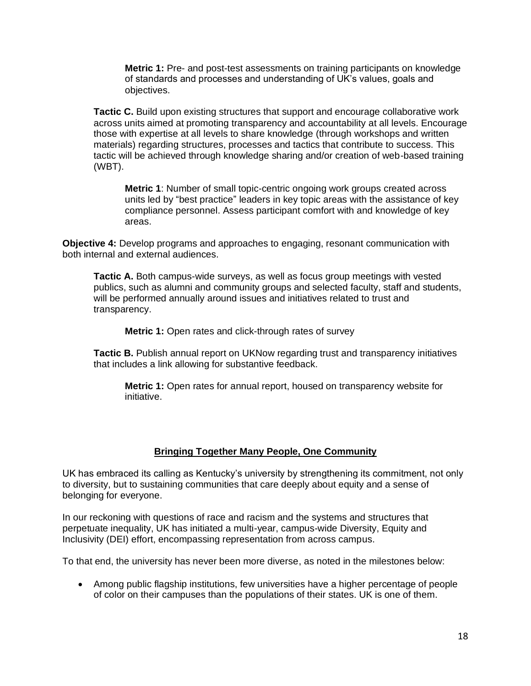**Metric 1:** Pre- and post-test assessments on training participants on knowledge of standards and processes and understanding of UK's values, goals and objectives.

**Tactic C.** Build upon existing structures that support and encourage collaborative work across units aimed at promoting transparency and accountability at all levels. Encourage those with expertise at all levels to share knowledge (through workshops and written materials) regarding structures, processes and tactics that contribute to success. This tactic will be achieved through knowledge sharing and/or creation of web-based training (WBT).

**Metric 1**: Number of small topic-centric ongoing work groups created across units led by "best practice" leaders in key topic areas with the assistance of key compliance personnel. Assess participant comfort with and knowledge of key areas.

**Objective 4:** Develop programs and approaches to engaging, resonant communication with both internal and external audiences.

**Tactic A.** Both campus-wide surveys, as well as focus group meetings with vested publics, such as alumni and community groups and selected faculty, staff and students, will be performed annually around issues and initiatives related to trust and transparency.

**Metric 1:** Open rates and click-through rates of survey

**Tactic B.** Publish annual report on UKNow regarding trust and transparency initiatives that includes a link allowing for substantive feedback.

**Metric 1:** Open rates for annual report, housed on transparency website for initiative.

### **Bringing Together Many People, One Community**

UK has embraced its calling as Kentucky's university by strengthening its commitment, not only to diversity, but to sustaining communities that care deeply about equity and a sense of belonging for everyone.

In our reckoning with questions of race and racism and the systems and structures that perpetuate inequality, UK has initiated a multi-year, campus-wide Diversity, Equity and Inclusivity (DEI) effort, encompassing representation from across campus.

To that end, the university has never been more diverse, as noted in the milestones below:

• Among public flagship institutions, few universities have a higher percentage of people of color on their campuses than the populations of their states. UK is one of them.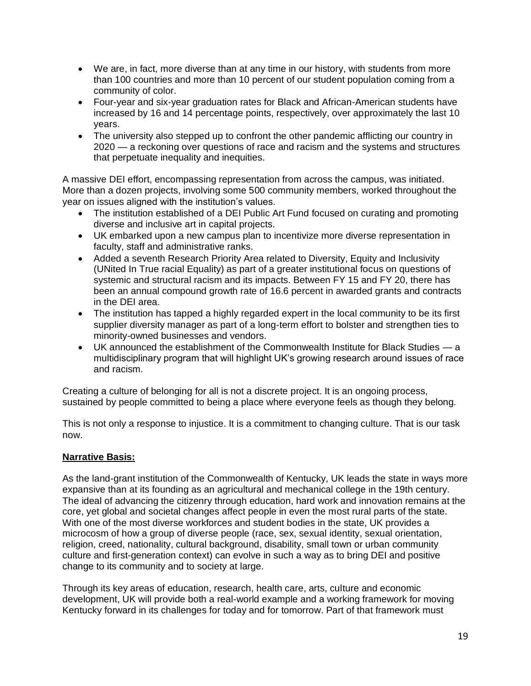- We are, in fact, more diverse than at any time in our history, with students from more than 100 countries and more than 10 percent of our student population coming from a community of color.
- Four-year and six-year graduation rates for Black and African-American students have increased by 16 and 14 percentage points, respectively, over approximately the last 10 years.
- The university also stepped up to confront the other pandemic afflicting our country in 2020 — a reckoning over questions of race and racism and the systems and structures that perpetuate inequality and inequities.

A massive DEI effort, encompassing representation from across the campus, was initiated. More than a dozen projects, involving some 500 community members, worked throughout the year on issues aligned with the institution's values.

- The institution established of a DEI Public Art Fund focused on curating and promoting diverse and inclusive art in capital projects.
- UK embarked upon a new campus plan to incentivize more diverse representation in faculty, staff and administrative ranks.
- Added a seventh Research Priority Area related to Diversity, Equity and Inclusivity (UNited In True racial Equality) as part of a greater institutional focus on questions of systemic and structural racism and its impacts. Between FY 15 and FY 20, there has been an annual compound growth rate of 16.6 percent in awarded grants and contracts in the DEI area.
- The institution has tapped a highly regarded expert in the local community to be its first supplier diversity manager as part of a long-term effort to bolster and strengthen ties to minority-owned businesses and vendors.
- UK announced the establishment of the Commonwealth Institute for Black Studies a multidisciplinary program that will highlight UK's growing research around issues of race and racism.

Creating a culture of belonging for all is not a discrete project. It is an ongoing process, sustained by people committed to being a place where everyone feels as though they belong.

This is not only a response to injustice. It is a commitment to changing culture. That is our task now.

# **Narrative Basis:**

As the land-grant institution of the Commonwealth of Kentucky, UK leads the state in ways more expansive than at its founding as an agricultural and mechanical college in the 19th century. The ideal of advancing the citizenry through education, hard work and innovation remains at the core, yet global and societal changes affect people in even the most rural parts of the state. With one of the most diverse workforces and student bodies in the state, UK provides a microcosm of how a group of diverse people (race, sex, sexual identity, sexual orientation, religion, creed, nationality, cultural background, disability, small town or urban community culture and first-generation context) can evolve in such a way as to bring DEI and positive change to its community and to society at large.

Through its key areas of education, research, health care, arts, culture and economic development, UK will provide both a real-world example and a working framework for moving Kentucky forward in its challenges for today and for tomorrow. Part of that framework must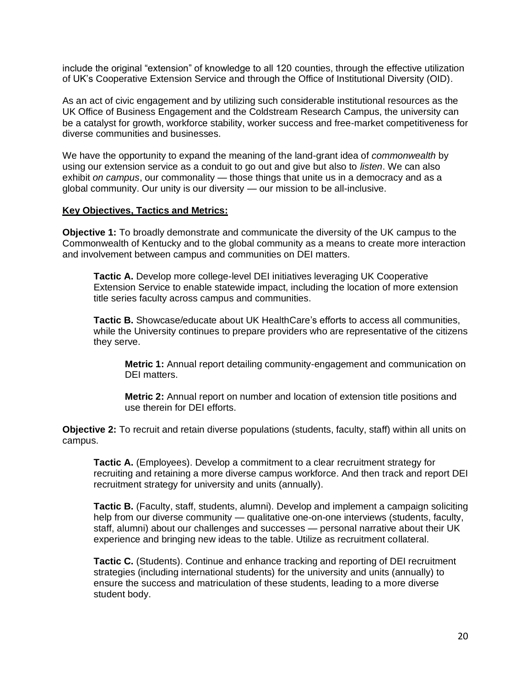include the original "extension" of knowledge to all 120 counties, through the effective utilization of UK's Cooperative Extension Service and through the Office of Institutional Diversity (OID).

As an act of civic engagement and by utilizing such considerable institutional resources as the UK Office of Business Engagement and the Coldstream Research Campus, the university can be a catalyst for growth, workforce stability, worker success and free-market competitiveness for diverse communities and businesses.

We have the opportunity to expand the meaning of the land-grant idea of *commonwealth* by using our extension service as a conduit to go out and give but also to *listen*. We can also exhibit *on campus*, our commonality — those things that unite us in a democracy and as a global community. Our unity is our diversity — our mission to be all-inclusive.

#### **Key Objectives, Tactics and Metrics:**

**Objective 1:** To broadly demonstrate and communicate the diversity of the UK campus to the Commonwealth of Kentucky and to the global community as a means to create more interaction and involvement between campus and communities on DEI matters.

**Tactic A.** Develop more college-level DEI initiatives leveraging UK Cooperative Extension Service to enable statewide impact, including the location of more extension title series faculty across campus and communities.

**Tactic B.** Showcase/educate about UK HealthCare's efforts to access all communities, while the University continues to prepare providers who are representative of the citizens they serve.

**Metric 1:** Annual report detailing community-engagement and communication on DEI matters.

**Metric 2:** Annual report on number and location of extension title positions and use therein for DEI efforts.

**Objective 2:** To recruit and retain diverse populations (students, faculty, staff) within all units on campus.

**Tactic A.** (Employees). Develop a commitment to a clear recruitment strategy for recruiting and retaining a more diverse campus workforce. And then track and report DEI recruitment strategy for university and units (annually).

**Tactic B.** (Faculty, staff, students, alumni). Develop and implement a campaign soliciting help from our diverse community — qualitative one-on-one interviews (students, faculty, staff, alumni) about our challenges and successes — personal narrative about their UK experience and bringing new ideas to the table. Utilize as recruitment collateral.

**Tactic C.** (Students). Continue and enhance tracking and reporting of DEI recruitment strategies (including international students) for the university and units (annually) to ensure the success and matriculation of these students, leading to a more diverse student body.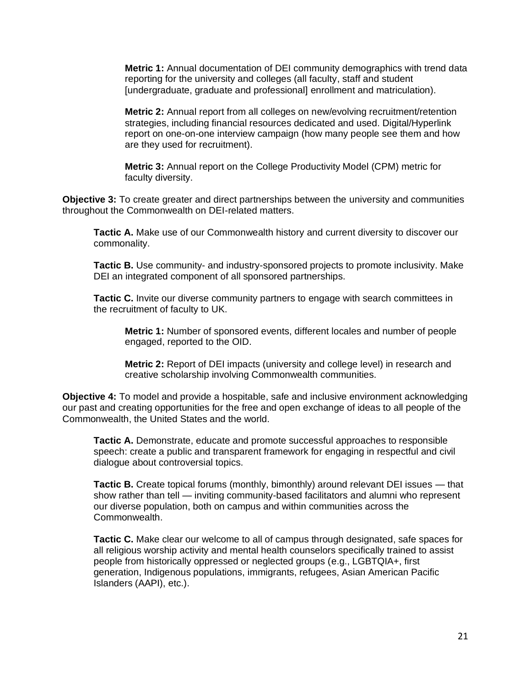**Metric 1:** Annual documentation of DEI community demographics with trend data reporting for the university and colleges (all faculty, staff and student [undergraduate, graduate and professional] enrollment and matriculation).

**Metric 2:** Annual report from all colleges on new/evolving recruitment/retention strategies, including financial resources dedicated and used. Digital/Hyperlink report on one-on-one interview campaign (how many people see them and how are they used for recruitment).

**Metric 3:** Annual report on the College Productivity Model (CPM) metric for faculty diversity.

**Objective 3:** To create greater and direct partnerships between the university and communities throughout the Commonwealth on DEI-related matters.

**Tactic A.** Make use of our Commonwealth history and current diversity to discover our commonality.

**Tactic B.** Use community- and industry-sponsored projects to promote inclusivity. Make DEI an integrated component of all sponsored partnerships.

**Tactic C.** Invite our diverse community partners to engage with search committees in the recruitment of faculty to UK.

**Metric 1:** Number of sponsored events, different locales and number of people engaged, reported to the OID.

**Metric 2:** Report of DEI impacts (university and college level) in research and creative scholarship involving Commonwealth communities.

**Objective 4:** To model and provide a hospitable, safe and inclusive environment acknowledging our past and creating opportunities for the free and open exchange of ideas to all people of the Commonwealth, the United States and the world.

**Tactic A.** Demonstrate, educate and promote successful approaches to responsible speech: create a public and transparent framework for engaging in respectful and civil dialogue about controversial topics.

**Tactic B.** Create topical forums (monthly, bimonthly) around relevant DEI issues — that show rather than tell — inviting community-based facilitators and alumni who represent our diverse population, both on campus and within communities across the Commonwealth.

**Tactic C.** Make clear our welcome to all of campus through designated, safe spaces for all religious worship activity and mental health counselors specifically trained to assist people from historically oppressed or neglected groups (e.g., LGBTQIA+, first generation, Indigenous populations, immigrants, refugees, Asian American Pacific Islanders (AAPI), etc.).